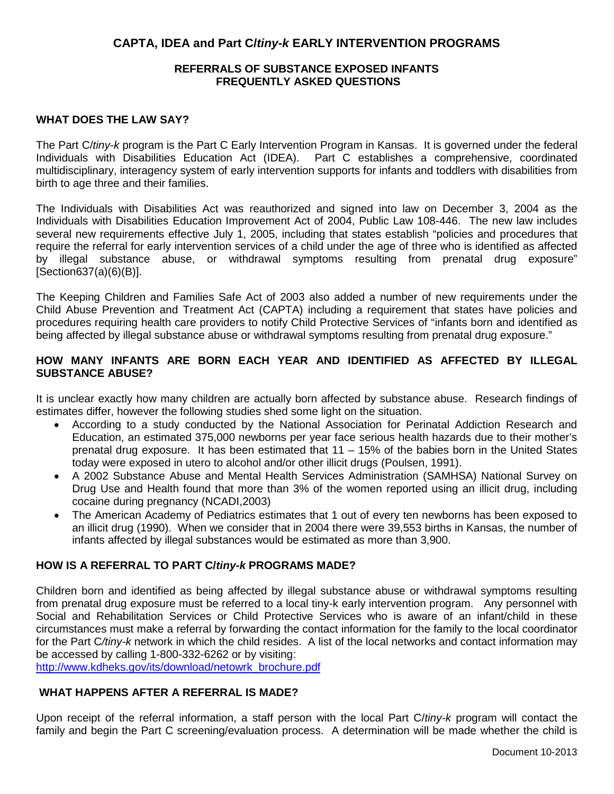# **CAPTA, IDEA and Part C/***tiny-k* **EARLY INTERVENTION PROGRAMS**

### **REFERRALS OF SUBSTANCE EXPOSED INFANTS FREQUENTLY ASKED QUESTIONS**

#### **WHAT DOES THE LAW SAY?**

The Part C/*tiny-k* program is the Part C Early Intervention Program in Kansas. It is governed under the federal Individuals with Disabilities Education Act (IDEA). Part C establishes a comprehensive, coordinated multidisciplinary, interagency system of early intervention supports for infants and toddlers with disabilities from birth to age three and their families.

The Individuals with Disabilities Act was reauthorized and signed into law on December 3, 2004 as the Individuals with Disabilities Education Improvement Act of 2004, Public Law 108-446. The new law includes several new requirements effective July 1, 2005, including that states establish "policies and procedures that require the referral for early intervention services of a child under the age of three who is identified as affected by illegal substance abuse, or withdrawal symptoms resulting from prenatal drug exposure" [Section637(a)(6)(B)].

The Keeping Children and Families Safe Act of 2003 also added a number of new requirements under the Child Abuse Prevention and Treatment Act (CAPTA) including a requirement that states have policies and procedures requiring health care providers to notify Child Protective Services of "infants born and identified as being affected by illegal substance abuse or withdrawal symptoms resulting from prenatal drug exposure."

## **HOW MANY INFANTS ARE BORN EACH YEAR AND IDENTIFIED AS AFFECTED BY ILLEGAL SUBSTANCE ABUSE?**

It is unclear exactly how many children are actually born affected by substance abuse. Research findings of estimates differ, however the following studies shed some light on the situation.

- According to a study conducted by the National Association for Perinatal Addiction Research and Education, an estimated 375,000 newborns per year face serious health hazards due to their mother's prenatal drug exposure. It has been estimated that 11 – 15% of the babies born in the United States today were exposed in utero to alcohol and/or other illicit drugs (Poulsen, 1991).
- A 2002 Substance Abuse and Mental Health Services Administration (SAMHSA) National Survey on Drug Use and Health found that more than 3% of the women reported using an illicit drug, including cocaine during pregnancy (NCADI,2003)
- The American Academy of Pediatrics estimates that 1 out of every ten newborns has been exposed to an illicit drug (1990). When we consider that in 2004 there were 39,553 births in Kansas, the number of infants affected by illegal substances would be estimated as more than 3,900.

#### **HOW IS A REFERRAL TO PART C/***tiny-k* **PROGRAMS MADE?**

Children born and identified as being affected by illegal substance abuse or withdrawal symptoms resulting from prenatal drug exposure must be referred to a local tiny-k early intervention program. Any personnel with Social and Rehabilitation Services or Child Protective Services who is aware of an infant/child in these circumstances must make a referral by forwarding the contact information for the family to the local coordinator for the Part C*/tiny-k* network in which the child resides. A list of the local networks and contact information may be accessed by calling 1-800-332-6262 or by visiting:

[http://www.kdheks.gov/its/download/netowrk\\_brochure.pdf](http://www.kdheks.gov/its/download/netowrk_brochure.pdf)

## **WHAT HAPPENS AFTER A REFERRAL IS MADE?**

Upon receipt of the referral information, a staff person with the local Part C/*tiny-k* program will contact the family and begin the Part C screening/evaluation process. A determination will be made whether the child is